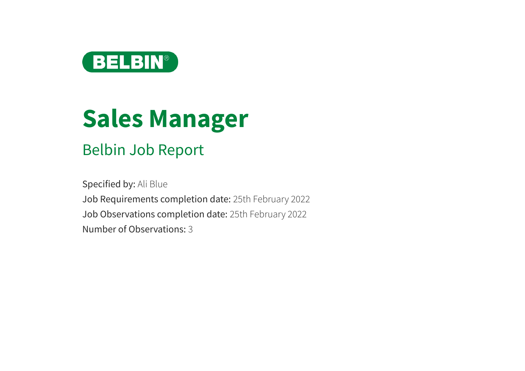

# **Sales Manager**

# Belbin Job Report

Specified by: Ali Blue Job Requirements completion date: 25th February 2022 Job Observations completion date: 25th February 2022 Number of Observations: 3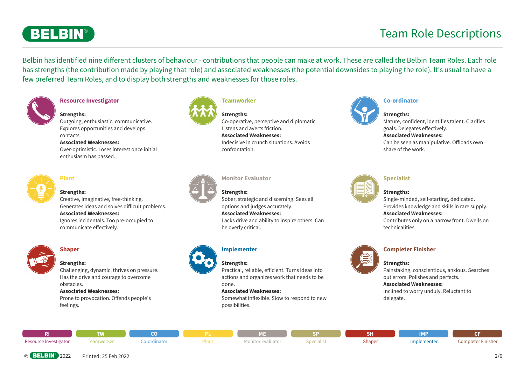

Belbin has identified nine diferent clusters of behaviour - contributions that people can make at work. These are called the Belbin Team Roles. Each role has strengths (the contribution made by playing that role) and associated weaknesses (the potential downsides to playing the role). It's usual to have a few preferred Team Roles, and to display both strengths and weaknesses for those roles.



#### **Resource Investigator**



Outgoing, enthusiastic, communicative. Explores opportunities and develops contacts.

#### **Associated Weaknesses:**

Over-optimistic. Loses interest once initial enthusiasm has passed.



#### **Plant**

#### **Strengths:**

Creative, imaginative, free-thinking. Generates ideas and solves dificult problems. **Associated Weaknesses:** Ignores incidentals. Too pre-occupied to communicate efectively.



#### **Shaper**

#### **Strengths:**

Challenging, dynamic, thrives on pressure. Has the drive and courage to overcome obstacles. **Associated Weaknesses:**

Prone to provocation. Offends people's feelings.



#### **Teamworker**

confrontation.



**Strengths:** Co-operative, perceptive and diplomatic. Listens and averts friction. **Associated Weaknesses:** Indecisive in crunch situations. Avoids



#### **Co-ordinator**

#### **Strengths:**

Mature, confident, identifies talent. Clarifies goals. Delegates efectively. **Associated Weaknesses:** Can be seen as manipulative. Ofloads own share of the work.



#### **Monitor Evaluator**





Sober, strategic and discerning. Sees all options and judges accurately. **Associated Weaknesses:** Lacks drive and ability to inspire others. Can



#### **Implementer**

be overly critical.



#### **Strengths:**

Practical, reliable, eficient. Turns ideas into actions and organizes work that needs to be done.

#### **Associated Weaknesses:**

Somewhat inflexible. Slow to respond to new possibilities.



#### **Specialist**

#### **Strengths:**

Single-minded, self-starting, dedicated. Provides knowledge and skills in rare supply. **Associated Weaknesses:**

Contributes only on a narrow front. Dwells on technicalities.



#### **Completer Finisher**

#### **Strengths:**

Painstaking, conscientious, anxious. Searches out errors. Polishes and perfects.

#### **Associated Weaknesses:**

Inclined to worry unduly. Reluctant to delegate.

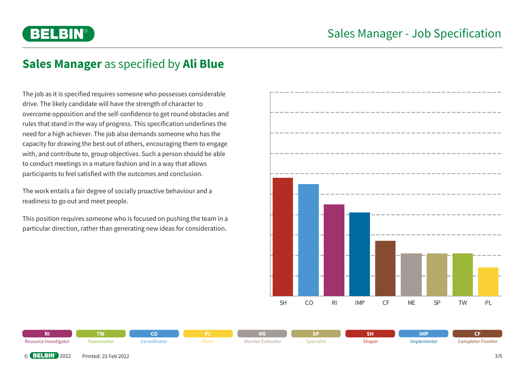

# **Sales Manager** as specified by **Ali Blue**

The job as it is specified requires someone who possesses considerable drive. The likely candidate will have the strength of character to overcome opposition and the self-confidence to get round obstacles and rules that stand in the way of progress. This specification underlines the need for a high achiever. The job also demands someone who has the capacity for drawing the best out of others, encouraging them to engage with, and contribute to, group objectives. Such a person should be able to conduct meetings in a mature fashion and in a way that allows participants to feel satisfied with the outcomes and conclusion.

The work entails a fair degree of socially proactive behaviour and a readiness to go out and meet people.

This position requires someone who is focused on pushing the team in a particular direction, rather than generating new ideas for consideration.



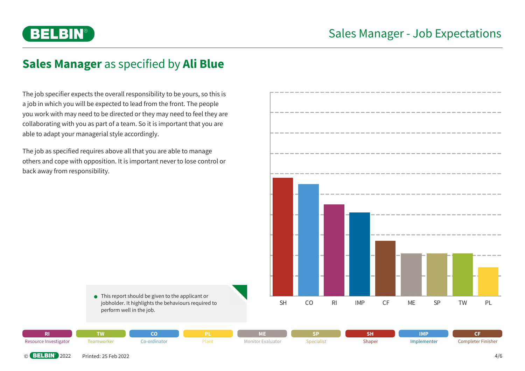

# **Sales Manager** as specified by **Ali Blue**

The job specifier expects the overall responsibility to be yours, so this is a job in which you will be expected to lead from the front. The people you work with may need to be directed or they may need to feel they are collaborating with you as part of a team. So it is important that you are able to adapt your managerial style accordingly.

The job as specified requires above all that you are able to manage others and cope with opposition. It is important never to lose control or back away from responsibility.



● This report should be given to the applicant or jobholder. It highlights the behaviours required to perform well in the job.

| - 11                  | n a        | ⇁          |     | vт                               |            | $\sim$ 11<br>הפ | <b>IMP</b>  |                                       |
|-----------------------|------------|------------|-----|----------------------------------|------------|-----------------|-------------|---------------------------------------|
| Resource Investigator | .eamworker | -ordinatoi | ιαι | <b>TODIT</b><br><b>EV</b> diudlo | ipecialist | Shaper          | Implementer | $-$<br>Completer F<br><b>Finisher</b> |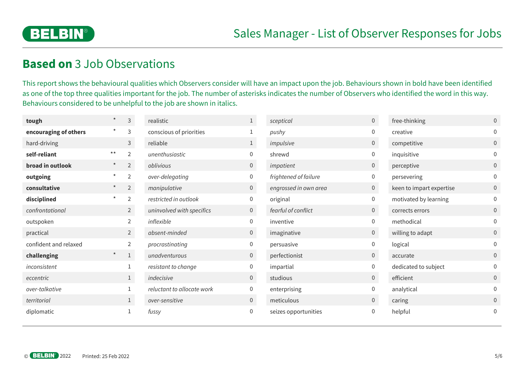

### **Based on** 3 Job Observations

This report shows the behavioural qualities which Observers consider will have an impact upon the job. Behaviours shown in bold have been identified as one of the top three qualities important for the job. The number of asterisks indicates the number of Observers who identified the word in this way. Behaviours considered to be unhelpful to the job are shown in italics.

| tough                 | $\star$  | $\mathsf{3}$   | realistic                  | $\mathbf{1}$   | sceptical             | $\overline{0}$ | free-thinking            | $\overline{0}$ |
|-----------------------|----------|----------------|----------------------------|----------------|-----------------------|----------------|--------------------------|----------------|
| encouraging of others | $\star$  | 3              | conscious of priorities    |                | pushy                 | 0              | creative                 | $\overline{0}$ |
| hard-driving          |          | 3              | reliable                   | $\mathbf{1}$   | impulsive             | $\overline{0}$ | competitive              | $\overline{0}$ |
| self-reliant          | $***$    | $\overline{2}$ | unenthusiastic             | $\mathbf{0}$   | shrewd                | 0              | inquisitive              | $\overline{0}$ |
| broad in outlook      | $^\star$ | $\overline{2}$ | oblivious                  | $\overline{0}$ | impatient             | $\overline{0}$ | perceptive               | $\overline{0}$ |
| outgoing              | $\star$  | 2              | over-delegating            | $\overline{0}$ | frightened of failure | $\overline{0}$ | persevering              | $\overline{0}$ |
| consultative          | $^\star$ | $\overline{2}$ | manipulative               | $\overline{0}$ | engrossed in own area | $\overline{0}$ | keen to impart expertise | $\overline{0}$ |
| disciplined           | $\star$  | $\overline{2}$ | restricted in outlook      | $\overline{0}$ | original              | 0              | motivated by learning    | $\mathbf 0$    |
| confrontational       |          | $\overline{2}$ | uninvolved with specifics  | $\overline{0}$ | fearful of conflict   | $\overline{0}$ | corrects errors          | $\overline{0}$ |
| outspoken             |          | $\overline{2}$ | inflexible                 | $\overline{0}$ | inventive             | 0              | methodical               | $\overline{0}$ |
| practical             |          | $\overline{2}$ | absent-minded              | $\overline{0}$ | imaginative           | $\overline{0}$ | willing to adapt         | $\overline{0}$ |
| confident and relaxed |          | $\overline{2}$ | procrastinating            | $\overline{0}$ | persuasive            | $\mathbf{0}$   | logical                  | $\overline{0}$ |
| challenging           | $\star$  | $\mathbf{1}$   | unadventurous              | $\overline{0}$ | perfectionist         | $\overline{0}$ | accurate                 | $\overline{0}$ |
| inconsistent          |          |                | resistant to change        | $\mathbf 0$    | impartial             | $\Omega$       | dedicated to subject     | $\overline{0}$ |
| eccentric             |          |                | indecisive                 | $\overline{0}$ | studious              | $\overline{0}$ | efficient                | $\overline{0}$ |
| over-talkative        |          |                | reluctant to allocate work | $\overline{0}$ | enterprising          | 0              | analytical               | $\overline{0}$ |
| territorial           |          | $\mathbf{1}$   | over-sensitive             | $\overline{0}$ | meticulous            | $\overline{0}$ | caring                   | 0              |
| diplomatic            |          |                | fussy                      | $\overline{0}$ | seizes opportunities  | 0              | helpful                  | 0              |